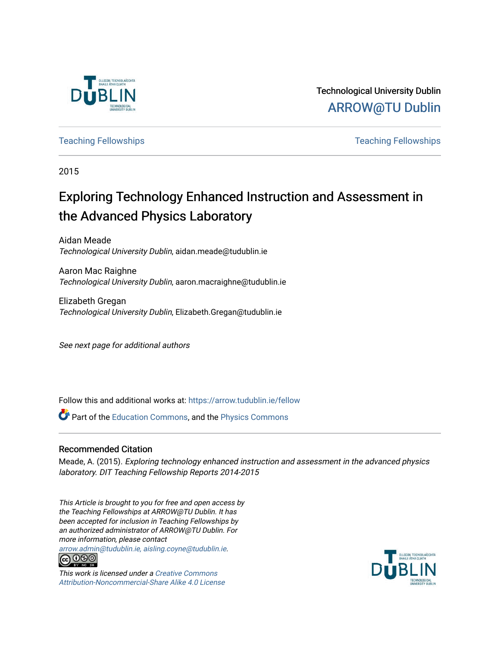

Technological University Dublin [ARROW@TU Dublin](https://arrow.tudublin.ie/) 

[Teaching Fellowships](https://arrow.tudublin.ie/fellow) [Teaching Fellowships](https://arrow.tudublin.ie/tfellowships) 

2015

# Exploring Technology Enhanced Instruction and Assessment in the Advanced Physics Laboratory

Aidan Meade Technological University Dublin, aidan.meade@tudublin.ie

Aaron Mac Raighne Technological University Dublin, aaron.macraighne@tudublin.ie

Elizabeth Gregan Technological University Dublin, Elizabeth.Gregan@tudublin.ie

See next page for additional authors

Follow this and additional works at: [https://arrow.tudublin.ie/fellow](https://arrow.tudublin.ie/fellow?utm_source=arrow.tudublin.ie%2Ffellow%2F47&utm_medium=PDF&utm_campaign=PDFCoverPages) 

**C** Part of the [Education Commons](http://network.bepress.com/hgg/discipline/784?utm_source=arrow.tudublin.ie%2Ffellow%2F47&utm_medium=PDF&utm_campaign=PDFCoverPages), and the [Physics Commons](http://network.bepress.com/hgg/discipline/193?utm_source=arrow.tudublin.ie%2Ffellow%2F47&utm_medium=PDF&utm_campaign=PDFCoverPages)

#### Recommended Citation

Meade, A. (2015). Exploring technology enhanced instruction and assessment in the advanced physics laboratory. DIT Teaching Fellowship Reports 2014-2015

This Article is brought to you for free and open access by the Teaching Fellowships at ARROW@TU Dublin. It has been accepted for inclusion in Teaching Fellowships by an authorized administrator of ARROW@TU Dublin. For more information, please contact

[arrow.admin@tudublin.ie, aisling.coyne@tudublin.ie](mailto:arrow.admin@tudublin.ie,%20aisling.coyne@tudublin.ie).<br> **@** 0©©



This work is licensed under a [Creative Commons](http://creativecommons.org/licenses/by-nc-sa/4.0/) [Attribution-Noncommercial-Share Alike 4.0 License](http://creativecommons.org/licenses/by-nc-sa/4.0/)

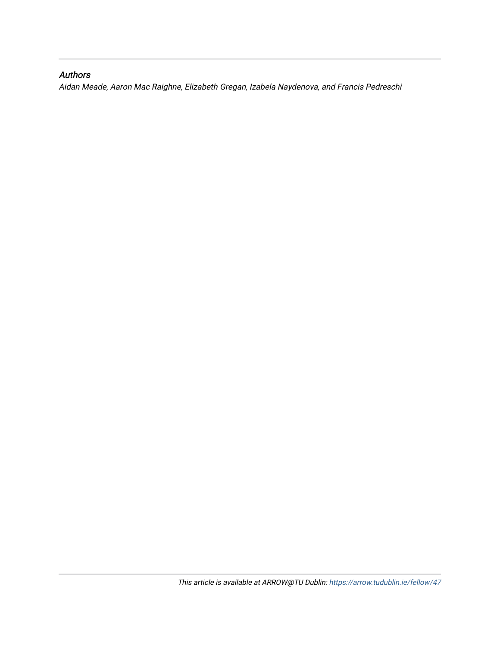## Authors

Aidan Meade, Aaron Mac Raighne, Elizabeth Gregan, Izabela Naydenova, and Francis Pedreschi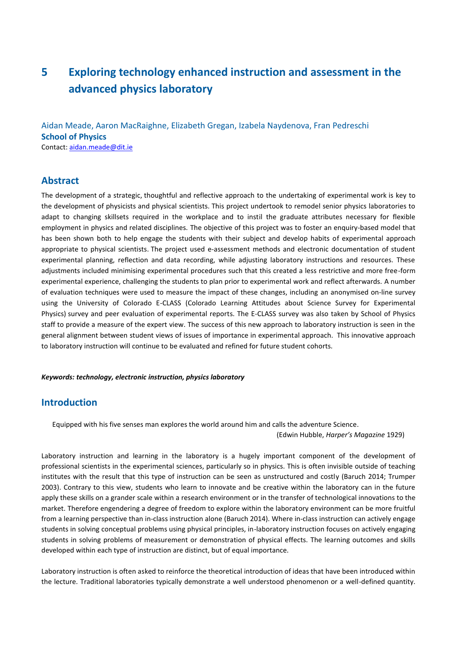# **5 Exploring technology enhanced instruction and assessment in the advanced physics laboratory**

Aidan Meade, Aaron MacRaighne, Elizabeth Gregan, Izabela Naydenova, Fran Pedreschi **School of Physics**  Contact[: aidan.meade@dit.ie](mailto:aidan.meade@dit.ie)

#### **Abstract**

The development of a strategic, thoughtful and reflective approach to the undertaking of experimental work is key to the development of physicists and physical scientists. This project undertook to remodel senior physics laboratories to adapt to changing skillsets required in the workplace and to instil the graduate attributes necessary for flexible employment in physics and related disciplines. The objective of this project was to foster an enquiry-based model that has been shown both to help engage the students with their subject and develop habits of experimental approach appropriate to physical scientists. The project used e-assessment methods and electronic documentation of student experimental planning, reflection and data recording, while adjusting laboratory instructions and resources. These adjustments included minimising experimental procedures such that this created a less restrictive and more free-form experimental experience, challenging the students to plan prior to experimental work and reflect afterwards. A number of evaluation techniques were used to measure the impact of these changes, including an anonymised on-line survey using the University of Colorado E-CLASS (Colorado Learning Attitudes about Science Survey for Experimental Physics) survey and peer evaluation of experimental reports. The E-CLASS survey was also taken by School of Physics staff to provide a measure of the expert view. The success of this new approach to laboratory instruction is seen in the general alignment between student views of issues of importance in experimental approach. This innovative approach to laboratory instruction will continue to be evaluated and refined for future student cohorts.

#### *Keywords: technology, electronic instruction, physics laboratory*

## **Introduction**

Equipped with his five senses man explores the world around him and calls the adventure Science.

(Edwin Hubble, *Harper's Magazine* 1929)

Laboratory instruction and learning in the laboratory is a hugely important component of the development of professional scientists in the experimental sciences, particularly so in physics. This is often invisible outside of teaching institutes with the result that this type of instruction can be seen as unstructured and costly (Baruch 2014; Trumper 2003). Contrary to this view, students who learn to innovate and be creative within the laboratory can in the future apply these skills on a grander scale within a research environment or in the transfer of technological innovations to the market. Therefore engendering a degree of freedom to explore within the laboratory environment can be more fruitful from a learning perspective than in-class instruction alone (Baruch 2014). Where in-class instruction can actively engage students in solving conceptual problems using physical principles, in-laboratory instruction focuses on actively engaging students in solving problems of measurement or demonstration of physical effects. The learning outcomes and skills developed within each type of instruction are distinct, but of equal importance.

Laboratory instruction is often asked to reinforce the theoretical introduction of ideas that have been introduced within the lecture. Traditional laboratories typically demonstrate a well understood phenomenon or a well-defined quantity.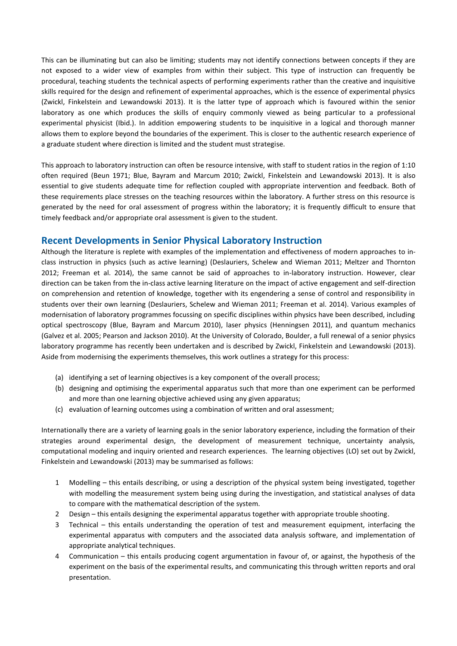This can be illuminating but can also be limiting; students may not identify connections between concepts if they are not exposed to a wider view of examples from within their subject. This type of instruction can frequently be procedural, teaching students the technical aspects of performing experiments rather than the creative and inquisitive skills required for the design and refinement of experimental approaches, which is the essence of experimental physics (Zwickl, Finkelstein and Lewandowski 2013). It is the latter type of approach which is favoured within the senior laboratory as one which produces the skills of enquiry commonly viewed as being particular to a professional experimental physicist (Ibid.). In addition empowering students to be inquisitive in a logical and thorough manner allows them to explore beyond the boundaries of the experiment. This is closer to the authentic research experience of a graduate student where direction is limited and the student must strategise.

This approach to laboratory instruction can often be resource intensive, with staff to student ratios in the region of 1:10 often required (Beun 1971; Blue, Bayram and Marcum 2010; Zwickl, Finkelstein and Lewandowski 2013). It is also essential to give students adequate time for reflection coupled with appropriate intervention and feedback. Both of these requirements place stresses on the teaching resources within the laboratory. A further stress on this resource is generated by the need for oral assessment of progress within the laboratory; it is frequently difficult to ensure that timely feedback and/or appropriate oral assessment is given to the student.

## **Recent Developments in Senior Physical Laboratory Instruction**

Although the literature is replete with examples of the implementation and effectiveness of modern approaches to inclass instruction in physics (such as active learning) (Deslauriers, Schelew and Wieman 2011; Meltzer and Thornton 2012; Freeman et al. 2014), the same cannot be said of approaches to in-laboratory instruction. However, clear direction can be taken from the in-class active learning literature on the impact of active engagement and self-direction on comprehension and retention of knowledge, together with its engendering a sense of control and responsibility in students over their own learning (Deslauriers, Schelew and Wieman 2011; Freeman et al. 2014). Various examples of modernisation of laboratory programmes focussing on specific disciplines within physics have been described, including optical spectroscopy (Blue, Bayram and Marcum 2010), laser physics (Henningsen 2011), and quantum mechanics (Galvez et al. 2005; Pearson and Jackson 2010). At the University of Colorado, Boulder, a full renewal of a senior physics laboratory programme has recently been undertaken and is described by Zwickl, Finkelstein and Lewandowski (2013). Aside from modernising the experiments themselves, this work outlines a strategy for this process:

- (a) identifying a set of learning objectives is a key component of the overall process;
- (b) designing and optimising the experimental apparatus such that more than one experiment can be performed and more than one learning objective achieved using any given apparatus;
- (c) evaluation of learning outcomes using a combination of written and oral assessment;

Internationally there are a variety of learning goals in the senior laboratory experience, including the formation of their strategies around experimental design, the development of measurement technique, uncertainty analysis, computational modeling and inquiry oriented and research experiences. The learning objectives (LO) set out by Zwickl, Finkelstein and Lewandowski (2013) may be summarised as follows:

- 1 Modelling this entails describing, or using a description of the physical system being investigated, together with modelling the measurement system being using during the investigation, and statistical analyses of data to compare with the mathematical description of the system.
- 2 Design this entails designing the experimental apparatus together with appropriate trouble shooting.
- 3 Technical this entails understanding the operation of test and measurement equipment, interfacing the experimental apparatus with computers and the associated data analysis software, and implementation of appropriate analytical techniques.
- 4 Communication this entails producing cogent argumentation in favour of, or against, the hypothesis of the experiment on the basis of the experimental results, and communicating this through written reports and oral presentation.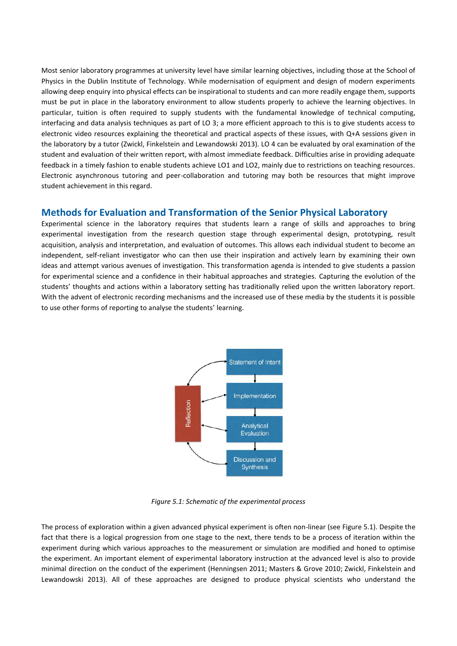Most senior laboratory programmes at university level have similar learning objectives, including those at the School of Physics in the Dublin Institute of Technology. While modernisation of equipment and design of modern experiments allowing deep enquiry into physical effects can be inspirational to students and can more readily engage them, supports must be put in place in the laboratory environment to allow students properly to achieve the learning objectives. In particular, tuition is often required to supply students with the fundamental knowledge of technical computing, interfacing and data analysis techniques as part of LO 3; a more efficient approach to this is to give students access to electronic video resources explaining the theoretical and practical aspects of these issues, with Q+A sessions given in the laboratory by a tutor (Zwickl, Finkelstein and Lewandowski 2013). LO 4 can be evaluated by oral examination of the student and evaluation of their written report, with almost immediate feedback. Difficulties arise in providing adequate feedback in a timely fashion to enable students achieve LO1 and LO2, mainly due to restrictions on teaching resources. Electronic asynchronous tutoring and peer-collaboration and tutoring may both be resources that might improve student achievement in this regard.

#### **Methods for Evaluation and Transformation of the Senior Physical Laboratory**

Experimental science in the laboratory requires that students learn a range of skills and approaches to bring experimental investigation from the research question stage through experimental design, prototyping, result acquisition, analysis and interpretation, and evaluation of outcomes. This allows each individual student to become an independent, self-reliant investigator who can then use their inspiration and actively learn by examining their own ideas and attempt various avenues of investigation. This transformation agenda is intended to give students a passion for experimental science and a confidence in their habitual approaches and strategies. Capturing the evolution of the students' thoughts and actions within a laboratory setting has traditionally relied upon the written laboratory report. With the advent of electronic recording mechanisms and the increased use of these media by the students it is possible to use other forms of reporting to analyse the students' learning.



*Figure 5.1: Schematic of the experimental process*

The process of exploration within a given advanced physical experiment is often non-linear (see Figure 5.1). Despite the fact that there is a logical progression from one stage to the next, there tends to be a process of iteration within the experiment during which various approaches to the measurement or simulation are modified and honed to optimise the experiment. An important element of experimental laboratory instruction at the advanced level is also to provide minimal direction on the conduct of the experiment (Henningsen 2011; Masters & Grove 2010; Zwickl, Finkelstein and Lewandowski 2013). All of these approaches are designed to produce physical scientists who understand the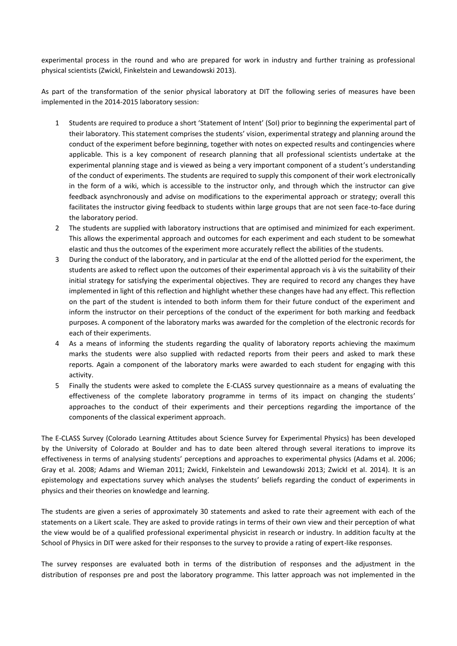experimental process in the round and who are prepared for work in industry and further training as professional physical scientists (Zwickl, Finkelstein and Lewandowski 2013).

As part of the transformation of the senior physical laboratory at DIT the following series of measures have been implemented in the 2014-2015 laboratory session:

- 1 Students are required to produce a short 'Statement of Intent' (SoI) prior to beginning the experimental part of their laboratory. This statement comprises the students' vision, experimental strategy and planning around the conduct of the experiment before beginning, together with notes on expected results and contingencies where applicable. This is a key component of research planning that all professional scientists undertake at the experimental planning stage and is viewed as being a very important component of a student's understanding of the conduct of experiments. The students are required to supply this component of their work electronically in the form of a wiki, which is accessible to the instructor only, and through which the instructor can give feedback asynchronously and advise on modifications to the experimental approach or strategy; overall this facilitates the instructor giving feedback to students within large groups that are not seen face-to-face during the laboratory period.
- 2 The students are supplied with laboratory instructions that are optimised and minimized for each experiment. This allows the experimental approach and outcomes for each experiment and each student to be somewhat elastic and thus the outcomes of the experiment more accurately reflect the abilities of the students.
- 3 During the conduct of the laboratory, and in particular at the end of the allotted period for the experiment, the students are asked to reflect upon the outcomes of their experimental approach vis à vis the suitability of their initial strategy for satisfying the experimental objectives. They are required to record any changes they have implemented in light of this reflection and highlight whether these changes have had any effect. This reflection on the part of the student is intended to both inform them for their future conduct of the experiment and inform the instructor on their perceptions of the conduct of the experiment for both marking and feedback purposes. A component of the laboratory marks was awarded for the completion of the electronic records for each of their experiments.
- 4 As a means of informing the students regarding the quality of laboratory reports achieving the maximum marks the students were also supplied with redacted reports from their peers and asked to mark these reports. Again a component of the laboratory marks were awarded to each student for engaging with this activity.
- 5 Finally the students were asked to complete the E-CLASS survey questionnaire as a means of evaluating the effectiveness of the complete laboratory programme in terms of its impact on changing the students' approaches to the conduct of their experiments and their perceptions regarding the importance of the components of the classical experiment approach.

The E-CLASS Survey (Colorado Learning Attitudes about Science Survey for Experimental Physics) has been developed by the University of Colorado at Boulder and has to date been altered through several iterations to improve its effectiveness in terms of analysing students' perceptions and approaches to experimental physics (Adams et al. 2006; Gray et al. 2008; Adams and Wieman 2011; Zwickl, Finkelstein and Lewandowski 2013; Zwickl et al. 2014). It is an epistemology and expectations survey which analyses the students' beliefs regarding the conduct of experiments in physics and their theories on knowledge and learning.

The students are given a series of approximately 30 statements and asked to rate their agreement with each of the statements on a Likert scale. They are asked to provide ratings in terms of their own view and their perception of what the view would be of a qualified professional experimental physicist in research or industry. In addition faculty at the School of Physics in DIT were asked for their responses to the survey to provide a rating of expert-like responses.

The survey responses are evaluated both in terms of the distribution of responses and the adjustment in the distribution of responses pre and post the laboratory programme. This latter approach was not implemented in the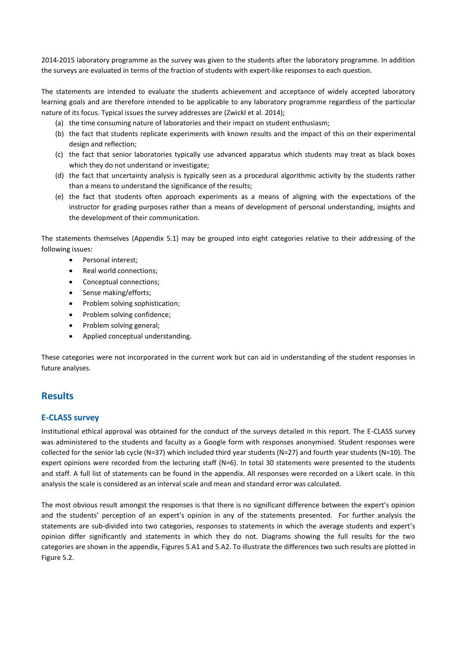2014-2015 laboratory programme as the survey was given to the students after the laboratory programme. In addition the surveys are evaluated in terms of the fraction of students with expert-like responses to each question.

The statements are intended to evaluate the students achievement and acceptance of widely accepted laboratory learning goals and are therefore intended to be applicable to any laboratory programme regardless of the particular nature of its focus. Typical issues the survey addresses are (Zwickl et al. 2014);

- (a) the time consuming nature of laboratories and their impact on student enthusiasm;
- (b) the fact that students replicate experiments with known results and the impact of this on their experimental design and reflection;
- (c) the fact that senior laboratories typically use advanced apparatus which students may treat as black boxes which they do not understand or investigate;
- (d) the fact that uncertainty analysis is typically seen as a procedural algorithmic activity by the students rather than a means to understand the significance of the results;
- (e) the fact that students often approach experiments as a means of aligning with the expectations of the instructor for grading purposes rather than a means of development of personal understanding, insights and the development of their communication.

The statements themselves (Appendix 5.1) may be grouped into eight categories relative to their addressing of the following issues:

- Personal interest;
- Real world connections:
- Conceptual connections;
- Sense making/efforts;
- Problem solving sophistication;
- Problem solving confidence;
- Problem solving general;
- Applied conceptual understanding.

These categories were not incorporated in the current work but can aid in understanding of the student responses in future analyses.

## **Results**

#### **E-CLASS survey**

Institutional ethical approval was obtained for the conduct of the surveys detailed in this report. The E-CLASS survey was administered to the students and faculty as a Google form with responses anonymised. Student responses were collected for the senior lab cycle (N=37) which included third year students (N=27) and fourth year students (N=10). The expert opinions were recorded from the lecturing staff (N=6). In total 30 statements were presented to the students and staff. A full list of statements can be found in the appendix. All responses were recorded on a Likert scale. In this analysis the scale is considered as an interval scale and mean and standard error was calculated.

The most obvious result amongst the responses is that there is no significant difference between the expert's opinion and the students' perception of an expert's opinion in any of the statements presented. For further analysis the statements are sub-divided into two categories, responses to statements in which the average students and expert's opinion differ significantly and statements in which they do not. Diagrams showing the full results for the two categories are shown in the appendix, Figures 5.A1 and 5.A2. To illustrate the differences two such results are plotted in Figure 5.2.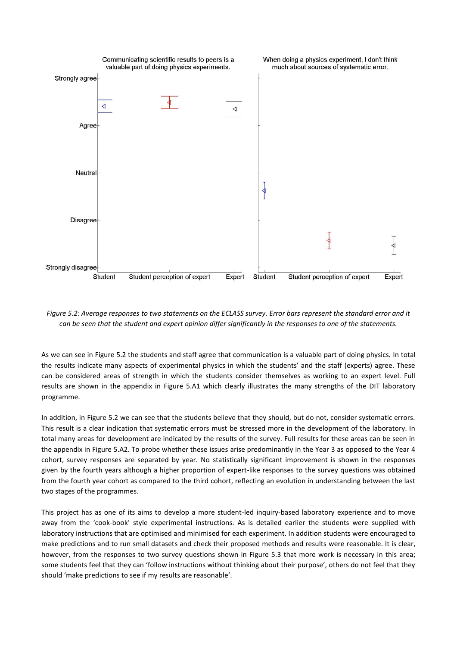

*Figure 5.2: Average responses to two statements on the ECLASS survey. Error bars represent the standard error and it can be seen that the student and expert opinion differ significantly in the responses to one of the statements.*

As we can see in Figure 5.2 the students and staff agree that communication is a valuable part of doing physics. In total the results indicate many aspects of experimental physics in which the students' and the staff (experts) agree. These can be considered areas of strength in which the students consider themselves as working to an expert level. Full results are shown in the appendix in Figure 5.A1 which clearly illustrates the many strengths of the DIT laboratory programme.

In addition, in Figure 5.2 we can see that the students believe that they should, but do not, consider systematic errors. This result is a clear indication that systematic errors must be stressed more in the development of the laboratory. In total many areas for development are indicated by the results of the survey. Full results for these areas can be seen in the appendix in Figure 5.A2. To probe whether these issues arise predominantly in the Year 3 as opposed to the Year 4 cohort, survey responses are separated by year. No statistically significant improvement is shown in the responses given by the fourth years although a higher proportion of expert-like responses to the survey questions was obtained from the fourth year cohort as compared to the third cohort, reflecting an evolution in understanding between the last two stages of the programmes.

This project has as one of its aims to develop a more student-led inquiry-based laboratory experience and to move away from the 'cook-book' style experimental instructions. As is detailed earlier the students were supplied with laboratory instructions that are optimised and minimised for each experiment. In addition students were encouraged to make predictions and to run small datasets and check their proposed methods and results were reasonable. It is clear, however, from the responses to two survey questions shown in Figure 5.3 that more work is necessary in this area; some students feel that they can 'follow instructions without thinking about their purpose', others do not feel that they should 'make predictions to see if my results are reasonable'.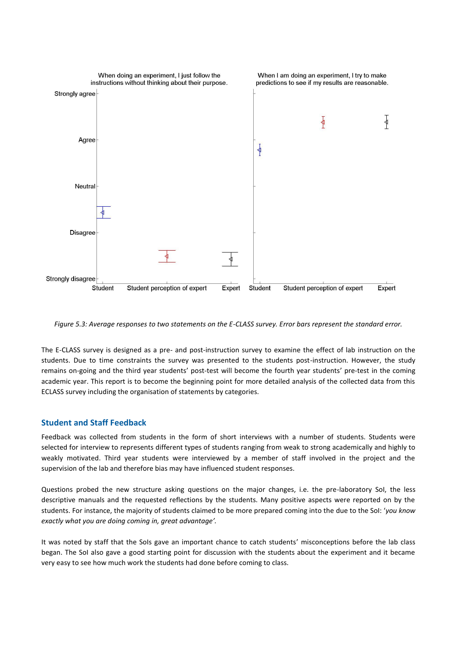

*Figure 5.3: Average responses to two statements on the E-CLASS survey. Error bars represent the standard error.*

The E-CLASS survey is designed as a pre- and post-instruction survey to examine the effect of lab instruction on the students. Due to time constraints the survey was presented to the students post-instruction. However, the study remains on-going and the third year students' post-test will become the fourth year students' pre-test in the coming academic year. This report is to become the beginning point for more detailed analysis of the collected data from this ECLASS survey including the organisation of statements by categories.

#### **Student and Staff Feedback**

Feedback was collected from students in the form of short interviews with a number of students. Students were selected for interview to represents different types of students ranging from weak to strong academically and highly to weakly motivated. Third year students were interviewed by a member of staff involved in the project and the supervision of the lab and therefore bias may have influenced student responses.

Questions probed the new structure asking questions on the major changes, i.e. the pre-laboratory SoI, the less descriptive manuals and the requested reflections by the students. Many positive aspects were reported on by the students. For instance, the majority of students claimed to be more prepared coming into the due to the SoI: '*you know exactly what you are doing coming in, great advantage'.*

It was noted by staff that the SoIs gave an important chance to catch students' misconceptions before the lab class began. The SoI also gave a good starting point for discussion with the students about the experiment and it became very easy to see how much work the students had done before coming to class.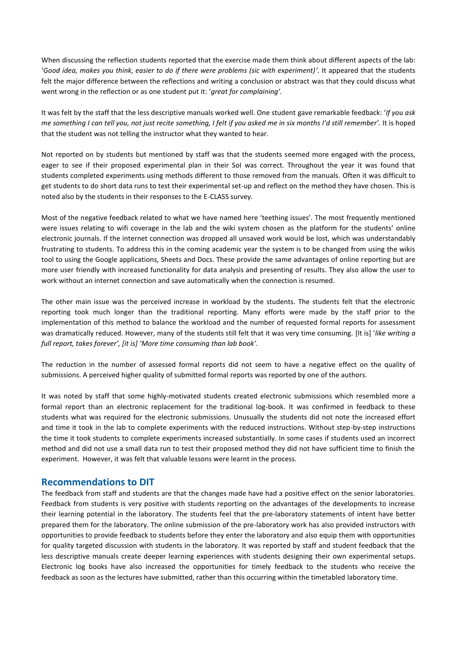When discussing the reflection students reported that the exercise made them think about different aspects of the lab: '*Good idea, makes you think, easier to do if there were problems (sic with experiment)'.* It appeared that the students felt the major difference between the reflections and writing a conclusion or abstract was that they could discuss what went wrong in the reflection or as one student put it: '*great for complaining'.*

It was felt by the staff that the less descriptive manuals worked well. One student gave remarkable feedback: '*If you ask me something I can tell you, not just recite something, I felt if you asked me in six months I'd still remember'.* It is hoped that the student was not telling the instructor what they wanted to hear.

Not reported on by students but mentioned by staff was that the students seemed more engaged with the process, eager to see if their proposed experimental plan in their SoI was correct. Throughout the year it was found that students completed experiments using methods different to those removed from the manuals. Often it was difficult to get students to do short data runs to test their experimental set-up and reflect on the method they have chosen. This is noted also by the students in their responses to the E-CLASS survey.

Most of the negative feedback related to what we have named here 'teething issues'. The most frequently mentioned were issues relating to wifi coverage in the lab and the wiki system chosen as the platform for the students' online electronic journals. If the internet connection was dropped all unsaved work would be lost, which was understandably frustrating to students. To address this in the coming academic year the system is to be changed from using the wikis tool to using the Google applications, Sheets and Docs. These provide the same advantages of online reporting but are more user friendly with increased functionality for data analysis and presenting of results. They also allow the user to work without an internet connection and save automatically when the connection is resumed.

The other main issue was the perceived increase in workload by the students. The students felt that the electronic reporting took much longer than the traditional reporting. Many efforts were made by the staff prior to the implementation of this method to balance the workload and the number of requested formal reports for assessment was dramatically reduced. However, many of the students still felt that it was very time consuming. [It is] '*like writing g full report, takes forever', [it is] 'More time consuming than lab book'.* 

The reduction in the number of assessed formal reports did not seem to have a negative effect on the quality of submissions. A perceived higher quality of submitted formal reports was reported by one of the authors.

It was noted by staff that some highly-motivated students created electronic submissions which resembled more a formal report than an electronic replacement for the traditional log-book. It was confirmed in feedback to these students what was required for the electronic submissions. Unusually the students did not note the increased effort and time it took in the lab to complete experiments with the reduced instructions. Without step-by-step instructions the time it took students to complete experiments increased substantially. In some cases if students used an incorrect method and did not use a small data run to test their proposed method they did not have sufficient time to finish the experiment. However, it was felt that valuable lessons were learnt in the process.

#### **Recommendations to DIT**

The feedback from staff and students are that the changes made have had a positive effect on the senior laboratories. Feedback from students is very positive with students reporting on the advantages of the developments to increase their learning potential in the laboratory. The students feel that the pre-laboratory statements of intent have better prepared them for the laboratory. The online submission of the pre-laboratory work has also provided instructors with opportunities to provide feedback to students before they enter the laboratory and also equip them with opportunities for quality targeted discussion with students in the laboratory. It was reported by staff and student feedback that the less descriptive manuals create deeper learning experiences with students designing their own experimental setups. Electronic log books have also increased the opportunities for timely feedback to the students who receive the feedback as soon as the lectures have submitted, rather than this occurring within the timetabled laboratory time.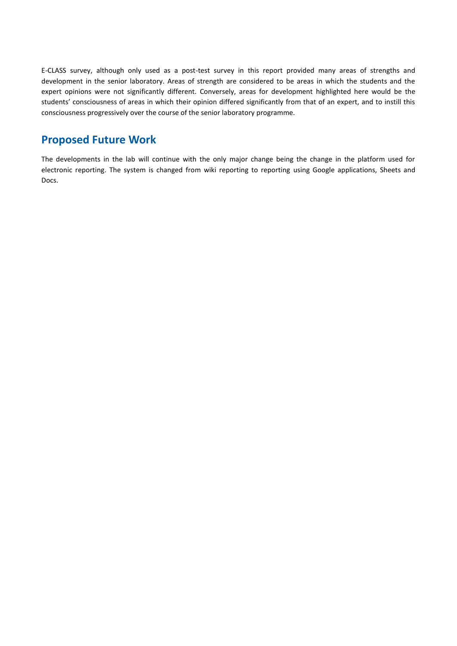E-CLASS survey, although only used as a post-test survey in this report provided many areas of strengths and development in the senior laboratory. Areas of strength are considered to be areas in which the students and the expert opinions were not significantly different. Conversely, areas for development highlighted here would be the students' consciousness of areas in which their opinion differed significantly from that of an expert, and to instill this consciousness progressively over the course of the senior laboratory programme.

# **Proposed Future Work**

The developments in the lab will continue with the only major change being the change in the platform used for electronic reporting. The system is changed from wiki reporting to reporting using Google applications, Sheets and Docs.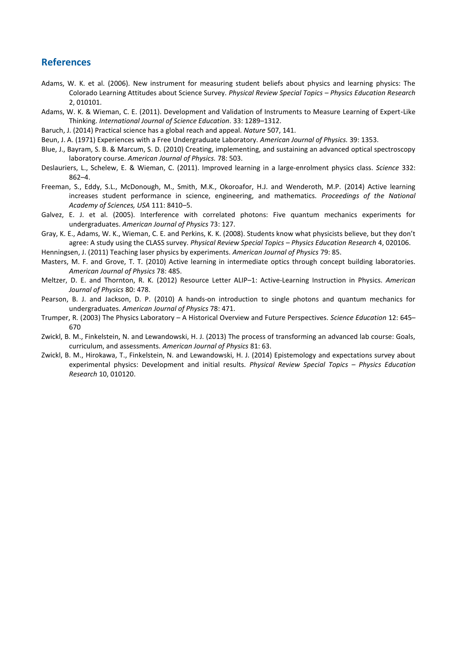#### **References**

- Adams, W. K. et al. (2006). New instrument for measuring student beliefs about physics and learning physics: The Colorado Learning Attitudes about Science Survey. *Physical Review Special Topics – Physics Education Research* 2, 010101.
- Adams, W. K. & Wieman, C. E. (2011). Development and Validation of Instruments to Measure Learning of Expert‐Like Thinking. *International Journal of Science Education.* 33: 1289–1312.
- Baruch, J. (2014) Practical science has a global reach and appeal. *Nature* 507, 141.
- Beun, J. A. (1971) Experiences with a Free Undergraduate Laboratory. *American Journal of Physics.* 39: 1353.
- Blue, J., Bayram, S. B. & Marcum, S. D. (2010) Creating, implementing, and sustaining an advanced optical spectroscopy laboratory course. *American Journal of Physics.* 78: 503.
- Deslauriers, L., Schelew, E. & Wieman, C. (2011). Improved learning in a large-enrolment physics class. *Science* 332: 862–4.
- Freeman, S., Eddy, S.L., McDonough, M., Smith, M.K., Okoroafor, H.J. and Wenderoth, M.P. (2014) Active learning increases student performance in science, engineering, and mathematics. *Proceedings of the National Academy of Sciences, USA* 111: 8410–5.
- Galvez, E. J. et al. (2005). Interference with correlated photons: Five quantum mechanics experiments for undergraduates. *American Journal of Physics* 73: 127.
- Gray, K. E., Adams, W. K., Wieman, C. E. and Perkins, K. K. (2008). Students know what physicists believe, but they don't agree: A study using the CLASS survey. *Physical Review Special Topics – Physics Education Research* 4, 020106.
- Henningsen, J. (2011) Teaching laser physics by experiments. *American Journal of Physics* 79: 85.
- Masters, M. F. and Grove, T. T. (2010) Active learning in intermediate optics through concept building laboratories. *American Journal of Physics* 78: 485.
- Meltzer, D. E. and Thornton, R. K. (2012) Resource Letter ALIP–1: Active-Learning Instruction in Physics. *American Journal of Physics* 80: 478.
- Pearson, B. J. and Jackson, D. P. (2010) A hands-on introduction to single photons and quantum mechanics for undergraduates. *American Journal of Physics* 78: 471.
- Trumper, R. (2003) The Physics Laboratory A Historical Overview and Future Perspectives. *Science Education* 12: 645– 670
- Zwickl, B. M., Finkelstein, N. and Lewandowski, H. J. (2013) The process of transforming an advanced lab course: Goals, curriculum, and assessments. *American Journal of Physics* 81: 63.
- Zwickl, B. M., Hirokawa, T., Finkelstein, N. and Lewandowski, H. J. (2014) Epistemology and expectations survey about experimental physics: Development and initial results. *Physical Review Special Topics – Physics Education Research* 10, 010120.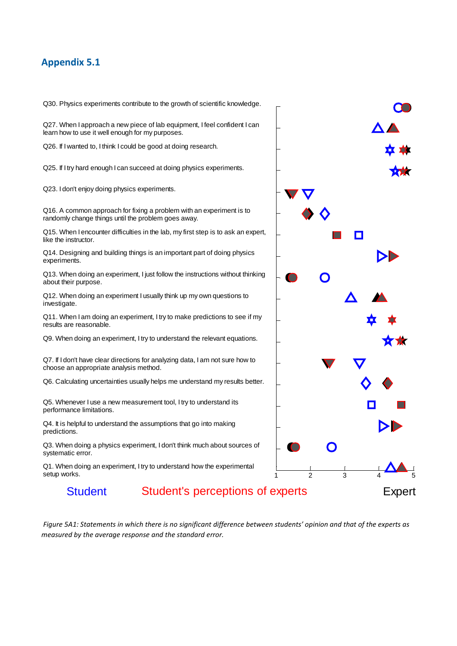# **Appendix 5.1**

Q30. Physics experiments contribute to the growth of scientific knowledge.

Q27. When I approach a new piece of lab equipment, I feel confident I can learn how to use it well enough for my purposes.

Q26. If I wanted to, I think I could be good at doing research.

Q25. If I try hard enough I can succeed at doing physics experiments.

Q23. I don't enjoy doing physics experiments.

Q16. A common approach for fixing a problem with an experiment is to randomly change things until the problem goes away.

Q15. When I encounter difficulties in the lab, my first step is to ask an expert, like the instructor.

Q14. Designing and building things is an important part of doing physics experiments.

Q13. When doing an experiment, I just follow the instructions without thinking about their purpose.

Q12. When doing an experiment I usually think up my own questions to investigate.

Q11. When I am doing an experiment, I try to make predictions to see if my results are reasonable.

Q9. When doing an experiment, I try to understand the relevant equations.

Q7. If I don't have clear directions for analyzing data, I am not sure how to choose an appropriate analysis method.

Q6. Calculating uncertainties usually helps me understand my results better.

Q5. Whenever I use a new measurement tool, I try to understand its performance limitations.

Q4. It is helpful to understand the assumptions that go into making predictions.

Q3. When doing a physics experiment, I don't think much about sources of systematic error.

Q1. When doing an experiment, I try to understand how the experimental setup works.

# Student Student's perceptions of experts Expert

*Figure 5A1: Statements in which there is no significant difference between students' opinion and that of the experts as measured by the average response and the standard error.*